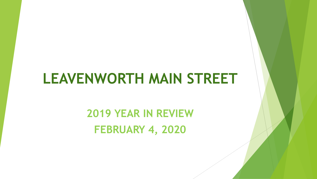# **LEAVENWORTH MAIN STREET**

**2019 YEAR IN REVIEW FEBRUARY 4, 2020**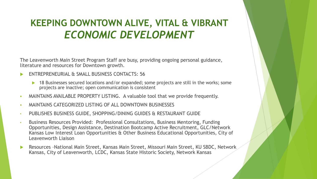### **KEEPING DOWNTOWN ALIVE, VITAL & VIBRANT**  *ECONOMIC DEVELOPMENT*

The Leavenworth Main Street Program Staff are busy, providing ongoing personal guidance, literature and resources for Downtown growth.

- ENTREPRENEURIAL & SMALL BUSINESS CONTACTS: 56
	- ▶ 18 Businesses secured locations and/or expanded; some projects are still in the works; some projects are inactive; open communication is consistent
- MAINTAINS AVAILABLE PROPERTY LISTING. A valuable tool that we provide frequently.
- MAINTAINS CATEGORIZED LISTING OF ALL DOWNTOWN BUSINESSES
- PUBLISHES BUSINESS GUIDE, SHOPPING/DINING GUIDES & RESTAURANT GUIDE
- Business Resources Provided: Professional Consultations, Business Mentoring, Funding Opportunities, Design Assistance, Destination Bootcamp Active Recruitment, GLC/Network Kansas Low Interest Loan Opportunities & Other Business Educational Opportunities, City of Leavenworth Liaison
- Resources –National Main Street, Kansas Main Street, Missouri Main Street, KU SBDC, Network Kansas, City of Leavenworth, LCDC, Kansas State Historic Society, Network Kansas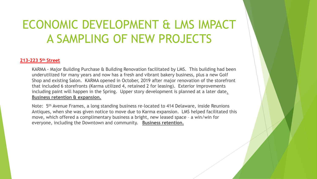### **213-223 5 th Street**

KARMA - Major Building Purchase & Building Renovation facilitated by LMS. This building had been underutilized for many years and now has a fresh and vibrant bakery business, plus a new Golf Shop and existing Salon. KARMA opened in October, 2019 after major renovation of the storefront that included 6 storefronts (Karma utilized 4, retained 2 for leasing). Exterior improvements including paint will happen in the Spring. Upper story development is planned at a later date. **Business retention & expansion.** 

Note: 5<sup>th</sup> Avenue Frames, a long standing business re-located to 414 Delaware, inside Reunions Antiques, when she was given notice to move due to Karma expansion. LMS helped facilitated this move, which offered a complimentary business a bright, new leased space – a win/win for everyone, including the Downtown and community. **Business retention.**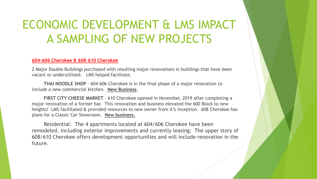#### **604-606 Cherokee & 608-610 Cherokee**

2 Major Double Buildings purchased with resulting major renovations in buildings that have been vacant or underutilized. LMS helped facilitate.

**THAI NOODLE SHOP** - 604-606 Cherokee is in the final phase of a major renovation *to include a new commercial kitchen.* **New Business**.

**FIRST CITY CHEESE MARKET** - 610 Cherokee opened in November, 2019 after completing a major renovation of a former bar. This renovation and business elevated the 600 Block to new heights! LMS facilitated & provided resources to new owner from it's inception. 608 Cherokee has plans for a Classic Car Showroom. **New business.** 

Residential: The 4 apartments located at 604/606 Cherokee have been remodeled, including exterior improvements and currently leasing; The upper story of 608/610 Cherokee offers development opportunities and will include renovation in the future.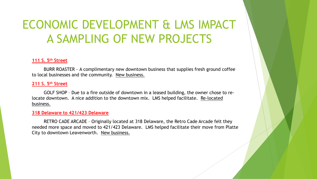### **111 S. 5th Street**

BURR ROASTER - A complimentary new downtown business that supplies fresh ground coffee to local businesses and the community. New business.

### **211 S. 5th Street**

GOLF SHOP – Due to a fire outside of downtown in a leased building, the owner chose to relocate downtown. A nice addition to the downtown mix. LMS helped facilitate. Re-located business.

### **318 Delaware to 421/423 Delaware**

RETRO CADE ARCADE – Originally located at 318 Delaware, the Retro Cade Arcade felt they needed more space and moved to 421/423 Delaware. LMS helped facilitate their move from Platte City to downtown Leavenworth. New business.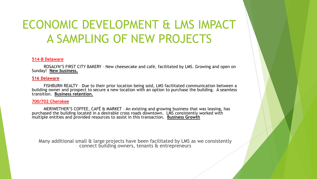#### **514-B Delaware**

ROSALYN'S FIRST CITY BAKERY – New cheesecake and café, facilitated by LMS. Growing and open on Sunday! **New business.** 

#### **516 Delaware**

FISHBURN REALTY – Due to their prior location being sold, LMS facilitated communication between a building owner and prospect to secure a new location with an option to purchase the building. A seamless transition. **Business retention.** 

#### **700/702 Cherokee**

MERIWETHER'S COFFEE, CAFÉ & MARKET – An existing and growing business that was leasing, has purchased the building located in a desirable cross roads downtown. LMS consistently worked with multiple entities and provided resources to assist in this transaction. **Business Growth**

Many additional small & large projects have been facilitated by LMS as we consistently connect building owners, tenants & entrepreneurs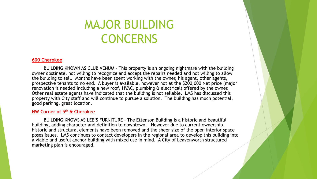### MAJOR BUILDING CONCERNS

#### **600 Cherokee**

BUILDING KNOWN AS CLUB VENUM – This property is an ongoing nightmare with the building owner obstinate, not willing to recognize and accept the repairs needed and not willing to allow the building to sell. Months have been spent working with the owner, his agent, other agents, prospective tenants to no end. A buyer is available, however not at the \$200,000 Net price (major renovation is needed including a new roof, HVAC, plumbing & electrical) offered by the owner. Other real estate agents have indicated that the building is not sellable. LMS has discussed this property with City staff and will continue to pursue a solution. The building has much potential, good parking, great location.

### **NW Corner of 5th & Cherokee**

BUILDING KNOWS AS LEE'S FURNITURE – The Ettenson Building is a historic and beautiful building, adding character and definition to downtown. However due to current ownership, historic and structural elements have been removed and the sheer size of the open interior space poses issues. LMS continues to contact developers in the regional area to develop this building into a viable and useful anchor building with mixed use in mind. A City of Leavenworth structured marketing plan is encouraged.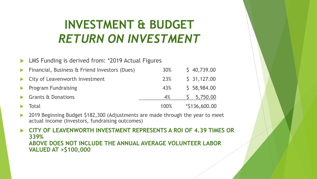## **INVESTMENT & BUDGET**  *RETURN ON INVESTMENT*

LMS Funding is derived from: \*2019 Actual Figures

| Financial, Business & Friend Investors (Dues) | 30%        | \$40,739.00      |
|-----------------------------------------------|------------|------------------|
| • City of Leavenworth investment              | <b>23%</b> | \$31,127.00      |
| $\blacktriangleright$ Program Fundraising     | 43%        | \$58,984.00      |
| Grants & Donations                            | $4\%$      | 5,750.00         |
| Total                                         | 100%       | $*$ \$136,600.00 |

 2019 Beginning Budget \$182,300 (Adjustments are made through the year to meet actual income (Investors, fundraising outcomes)

 **CITY OF LEAVENWORTH INVESTMENT REPRESENTS A ROI OF 4.39 TIMES OR 339% ABOVE DOES NOT INCLUDE THE ANNUAL AVERAGE VOLUNTEER LABOR VALUED AT >\$100,000**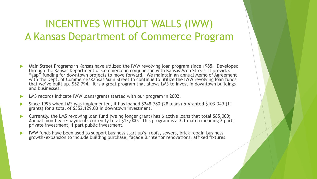### INCENTIVES WITHOUT WALLS (IWW) A Kansas Department of Commerce Program

- Main Street Programs in Kansas have utilized the IWW revolving loan program since 1985. Developed through the Kansas Department of Commerce in conjunction with Kansas Main Street, it provides "gap" funding for downtown projects to move forward. We maintain an annual Memo of Agreement with the Dept. of Commerce/Kansas Main Street to continue to utilize the IWW revolving loan funds that we've built up, \$52,794. It is a great program that allows LMS to invest in downtown buildings and businesses.
- LMS records indicate IWW loans/grants started with our program in 2002.
- Since 1995 when LMS was implemented, it has loaned \$248,780 (28 loans) & granted \$103,349 (11 grants) for a total of \$352,129.00 in downtown investment.
- Currently, the LMS revolving loan fund (we no longer grant) has 6 active loans that total \$85,000; Annual monthly re-payments currently total \$13,000. This program is a 3:1 match meaning 3 parts private investment, 1 part public investment.
- IWW funds have been used to support business start up's, roofs, sewers, brick repair, business growth/expansion to include building purchase, façade & interior renovations, affixed fixtures.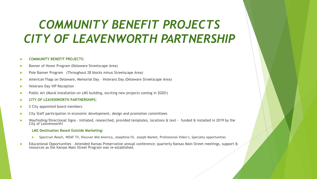## *COMMUNITY BENEFIT PROJECTS CITY OF LEAVENWORTH PARTNERSHIP*

#### **COMMUNITY BENEFIT PROJECTS:**

- Banner of Honor Program (Delaware Streetscape Area)
- Pole Banner Program (Throughout 28 blocks minus Streetscape Area)
- American Flags on Delaware, Memorial Day Veterans Day (Delaware Streetscape Area)
- Veterans Day VIP Reception
- Public Art (Mural Installation on LMS building, exciting new projects coming in 2020!)
- **CITY OF LEAVENWORTH PARTNERSHIPS:**
- 2 City appointed board members
- City Staff participation in economic development, design and promotion committees
- Wayfinding/Directional Signs Initiated, researched, provided templates, locations & text funded & installed in 2019 by the City of Leavenworth!

#### **LMS Destination Based Outside Marketing:**

- Spectrum Reach, WDAF TV, Discover Mid America, Josephine/St. Joseph Market, Professional Video's, Specialty opportunities
- Educational Opportunities Attended Kansas Preservation annual conference; quarterly Kansas Main Street meetings, support & resources as the Kansas Main Street Program was re-established.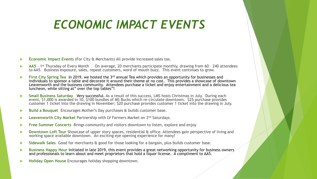### *ECONOMIC IMPACT EVENTS*

- **Economic Impact Events** (For City & Merchants) All provide increased sales tax.
- ▶ **AA5** 1<sup>st</sup> Thursday of Every Month On average, 20 merchants participate monthly, drawing from 60 240 attendees to AA5. Business exposure, sales, repeat customers, word of mouth buzz. This event continues to grow.
- **First City Spring Tea** In 2019, we hosted the 3rd annual Tea which provides an opportunity for businesses and individuals to sponsor a table and decorate it around their theme at no cost. This provides a showcase of downtown Leavenworth and the business community. Attendees purchase a ticket and enjoy entertainment and a delicious tea luncheon, while sitting at" over the top tables"!
- **Small Business Saturday** Very successful. As a result of this success, LMS hosts Christmas in July. During each event, \$1,000 is awarded in 10, \$100 bundles of MS Bucks which re-circulate downtown. \$25 purchase provides customer 1 ticket into the drawing in November; \$20 purchase provides customer 1 ticket into the drawing in July.
- **Build a Bouquet** Encourages Mother's Day purchases & builds customer base.
- **Leavenworth City Market** Partnership with LV Farmers Market on 2nd Saturdays.
- **Free Summer Concerts** Brings community and visitors downtown to listen, explore and enjoy
- **Downtown Loft Tour** Showcase of upper story spaces, residential & office. Attendees gain perspective of living and working space available downtown. An exciting eye opening experience for many!
- **Sidewalk Sales** Good for merchants & good for those looking for a bargain, plus builds customer base.
- **Business Happy Hour** Initiated in late 2019, this event provides a great networking opportunity for business owners and professionals to learn about and meet proprietors that hold a liquor license. A compliment to AA5.
- **Holiday Open House** Encourages holiday shopping downtown.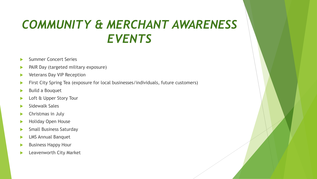## *COMMUNITY & MERCHANT AWARENESS EVENTS*

- Summer Concert Series
- PAIR Day (targeted military exposure)
- Veterans Day VIP Reception
- **First City Spring Tea (exposure for local businesses/individuals, future customers)**
- Build a Bouquet
- Loft & Upper Story Tour
- Sidewalk Sales
- Christmas in July
- Holiday Open House
- Small Business Saturday
- LMS Annual Banquet
- Business Happy Hour
- Leavenworth City Market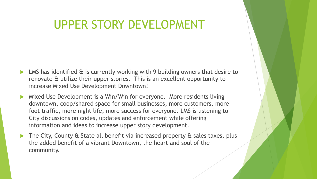### UPPER STORY DEVELOPMENT

- LMS has identified & is currently working with 9 building owners that desire to renovate & utilize their upper stories. This is an excellent opportunity to increase Mixed Use Development Downtown!
- Mixed Use Development is a Win/Win for everyone. More residents living downtown, coop/shared space for small businesses, more customers, more foot traffic, more night life, more success for everyone. LMS is listening to City discussions on codes, updates and enforcement while offering information and ideas to increase upper story development.
- ▶ The City, County & State all benefit via increased property & sales taxes, plus the added benefit of a vibrant Downtown, the heart and soul of the community.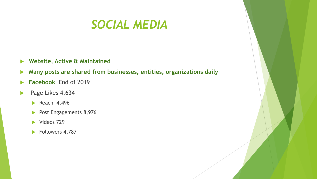### *SOCIAL MEDIA*

- **Website, Active & Maintained**
- **Many posts are shared from businesses, entities, organizations daily**
- **Facebook** End of 2019
- Page Likes 4,634
	- Reach  $4,496$
	- Post Engagements 8,976
	- $\blacktriangleright$  Videos 729
	- Followers 4,787